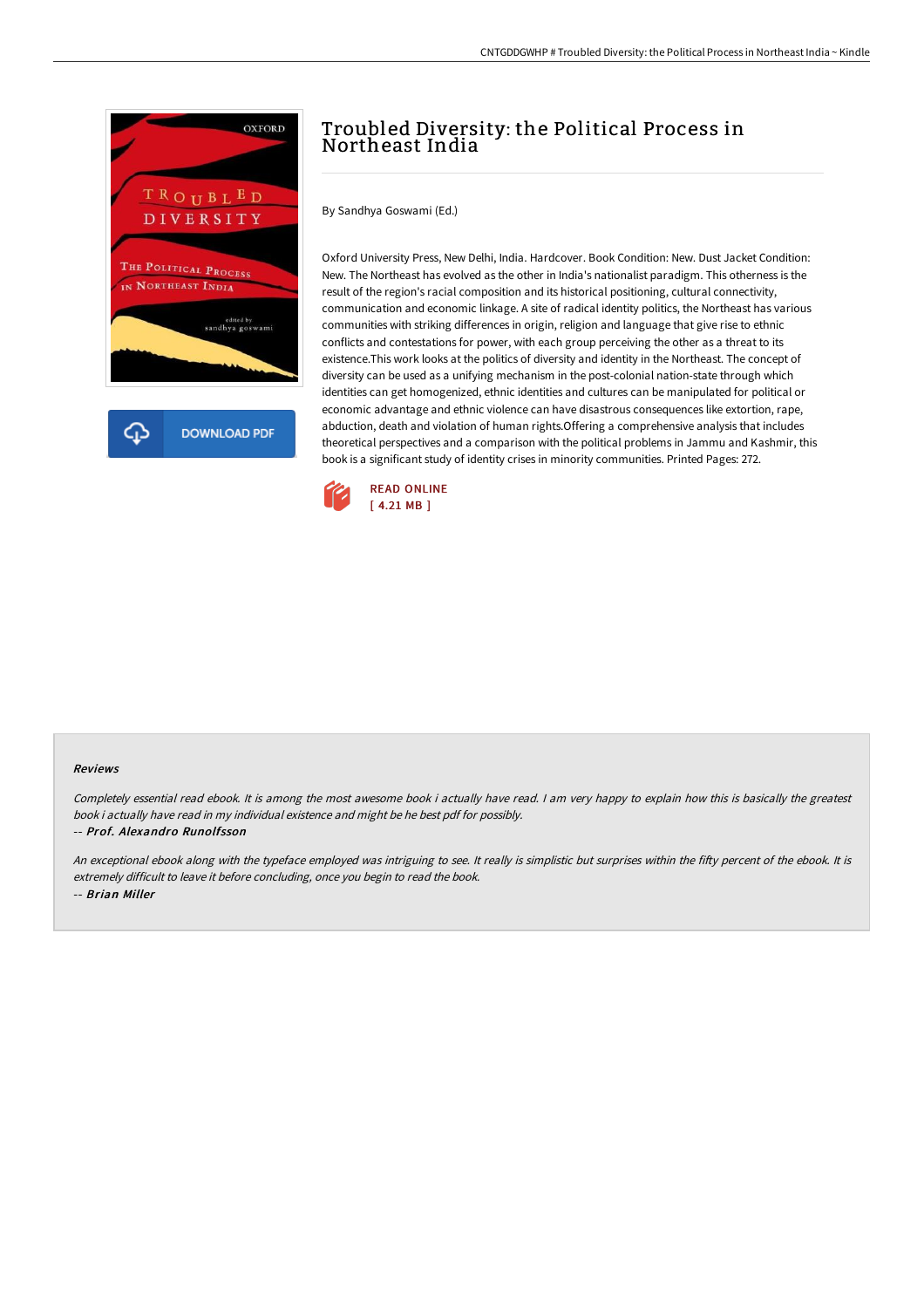

**DOWNLOAD PDF** 

# Troubled Diversity: the Political Process in Northeast India

By Sandhya Goswami (Ed.)

Oxford University Press, New Delhi, India. Hardcover. Book Condition: New. Dust Jacket Condition: New. The Northeast has evolved as the other in India's nationalist paradigm. This otherness is the result of the region's racial composition and its historical positioning, cultural connectivity, communication and economic linkage. A site of radical identity politics, the Northeast has various communities with striking differences in origin, religion and language that give rise to ethnic conflicts and contestations for power, with each group perceiving the other as a threat to its existence.This work looks at the politics of diversity and identity in the Northeast. The concept of diversity can be used as a unifying mechanism in the post-colonial nation-state through which identities can get homogenized, ethnic identities and cultures can be manipulated for political or economic advantage and ethnic violence can have disastrous consequences like extortion, rape, abduction, death and violation of human rights.Offering a comprehensive analysis that includes theoretical perspectives and a comparison with the political problems in Jammu and Kashmir, this book is a significant study of identity crises in minority communities. Printed Pages: 272.



### Reviews

Completely essential read ebook. It is among the most awesome book i actually have read. I am very happy to explain how this is basically the greatest book i actually have read in my individual existence and might be he best pdf for possibly. -- Prof. Alexandro Runolfsson

An exceptional ebook along with the typeface employed was intriguing to see. It really is simplistic but surprises within the fifty percent of the ebook. It is extremely difficult to leave it before concluding, once you begin to read the book. -- Brian Miller